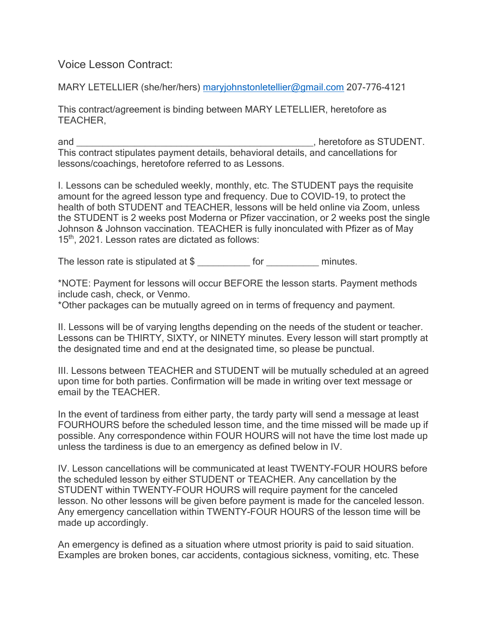Voice Lesson Contract:

MARY LETELLIER (she/her/hers) maryjohnstonletellier@gmail.com 207-776-4121

This contract/agreement is binding between MARY LETELLIER, heretofore as TEACHER,

and \_\_\_\_\_\_\_\_\_\_\_\_\_\_\_\_\_\_\_\_\_\_\_\_\_\_\_\_\_\_\_\_\_\_\_\_\_\_\_\_\_\_\_\_\_, heretofore as STUDENT. This contract stipulates payment details, behavioral details, and cancellations for lessons/coachings, heretofore referred to as Lessons.

I. Lessons can be scheduled weekly, monthly, etc. The STUDENT pays the requisite amount for the agreed lesson type and frequency. Due to COVID-19, to protect the health of both STUDENT and TEACHER, lessons will be held online via Zoom, unless the STUDENT is 2 weeks post Moderna or Pfizer vaccination, or 2 weeks post the single Johnson & Johnson vaccination. TEACHER is fully inonculated with Pfizer as of May 15<sup>th</sup>, 2021. Lesson rates are dictated as follows:

The lesson rate is stipulated at \$ \_\_\_\_\_\_\_\_\_\_\_ for \_\_\_\_\_\_\_\_\_\_\_\_ minutes.

\*NOTE: Payment for lessons will occur BEFORE the lesson starts. Payment methods include cash, check, or Venmo.

\*Other packages can be mutually agreed on in terms of frequency and payment.

II. Lessons will be of varying lengths depending on the needs of the student or teacher. Lessons can be THIRTY, SIXTY, or NINETY minutes. Every lesson will start promptly at the designated time and end at the designated time, so please be punctual.

III. Lessons between TEACHER and STUDENT will be mutually scheduled at an agreed upon time for both parties. Confirmation will be made in writing over text message or email by the TEACHER.

In the event of tardiness from either party, the tardy party will send a message at least FOURHOURS before the scheduled lesson time, and the time missed will be made up if possible. Any correspondence within FOUR HOURS will not have the time lost made up unless the tardiness is due to an emergency as defined below in IV.

IV. Lesson cancellations will be communicated at least TWENTY-FOUR HOURS before the scheduled lesson by either STUDENT or TEACHER. Any cancellation by the STUDENT within TWENTY-FOUR HOURS will require payment for the canceled lesson. No other lessons will be given before payment is made for the canceled lesson. Any emergency cancellation within TWENTY-FOUR HOURS of the lesson time will be made up accordingly.

An emergency is defined as a situation where utmost priority is paid to said situation. Examples are broken bones, car accidents, contagious sickness, vomiting, etc. These